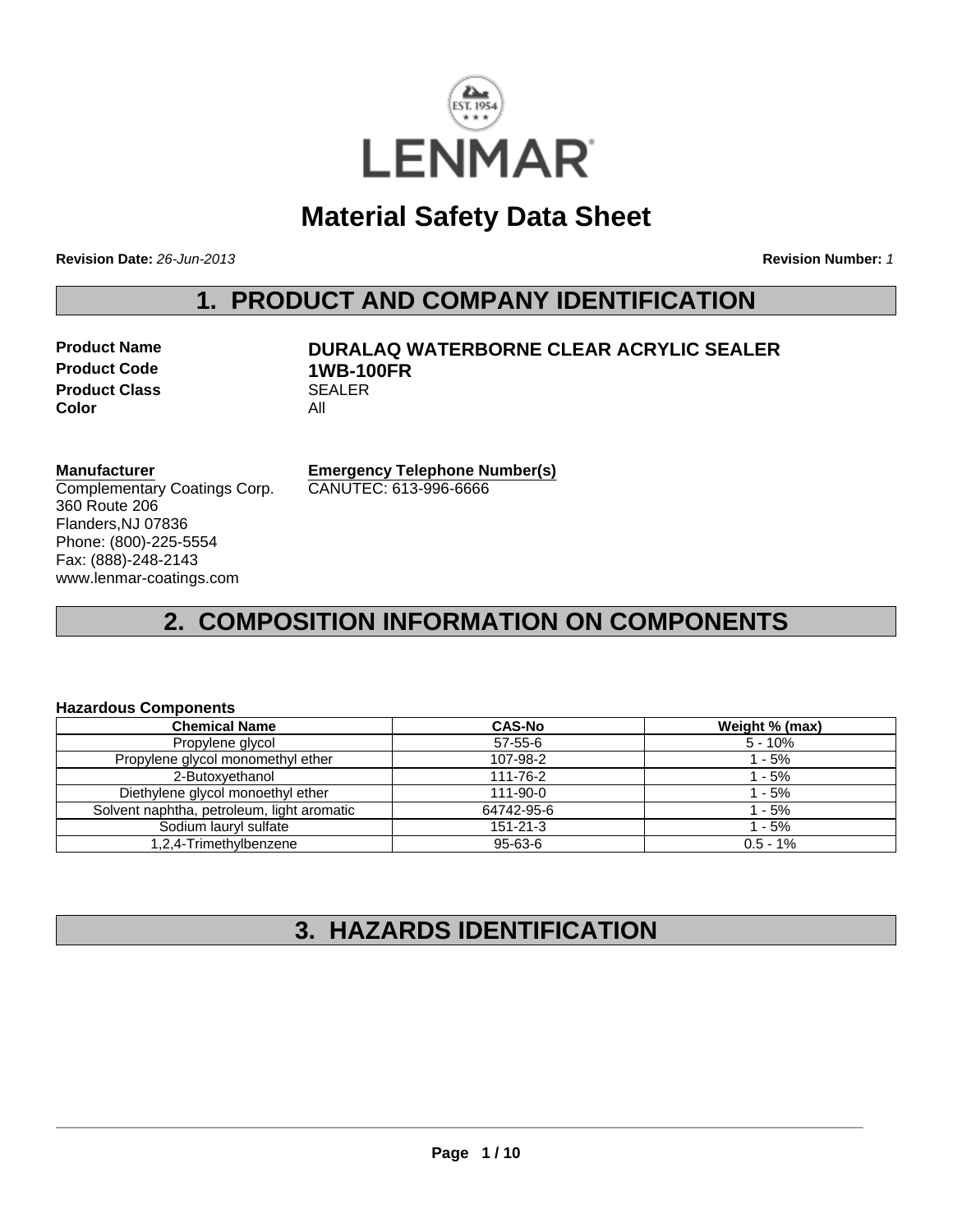

# **Material Safety Data Sheet**

**Revision Date:** *26-Jun-2013* **Revision Number:** *1*

## **1. PRODUCT AND COMPANY IDENTIFICATION**

| <b>Product Name</b>  |     |
|----------------------|-----|
| <b>Product Code</b>  | 1 V |
| <b>Product Class</b> | SЕ  |
| Color                | Αll |

## **PURALAQ WATERBORNE CLEAR ACRYLIC SEALER Product Code 1WB-100FR SEALER**

## **Manufacturer**

Complementary Coatings Corp. 360 Route 206 Flanders,NJ 07836 Phone: (800)-225-5554 Fax: (888)-248-2143 www.lenmar-coatings.com

**Emergency Telephone Number(s)** CANUTEC: 613-996-6666

# **2. COMPOSITION INFORMATION ON COMPONENTS**

### **Hazardous Components**

| <b>Chemical Name</b>                       | <b>CAS-No</b>  | Weight % (max) |
|--------------------------------------------|----------------|----------------|
| Propylene glycol                           | $57 - 55 - 6$  | $5 - 10%$      |
| Propylene glycol monomethyl ether          | 107-98-2       | $1 - 5%$       |
| 2-Butoxvethanol                            | 111-76-2       | 1 - 5%         |
| Diethylene glycol monoethyl ether          | $111 - 90 - 0$ | 1 - 5%         |
| Solvent naphtha, petroleum, light aromatic | 64742-95-6     | 1 - 5%         |
| Sodium lauryl sulfate                      | $151 - 21 - 3$ | $1 - 5%$       |
| 1,2,4-Trimethylbenzene                     | 95-63-6        | $0.5 - 1%$     |

# **3. HAZARDS IDENTIFICATION**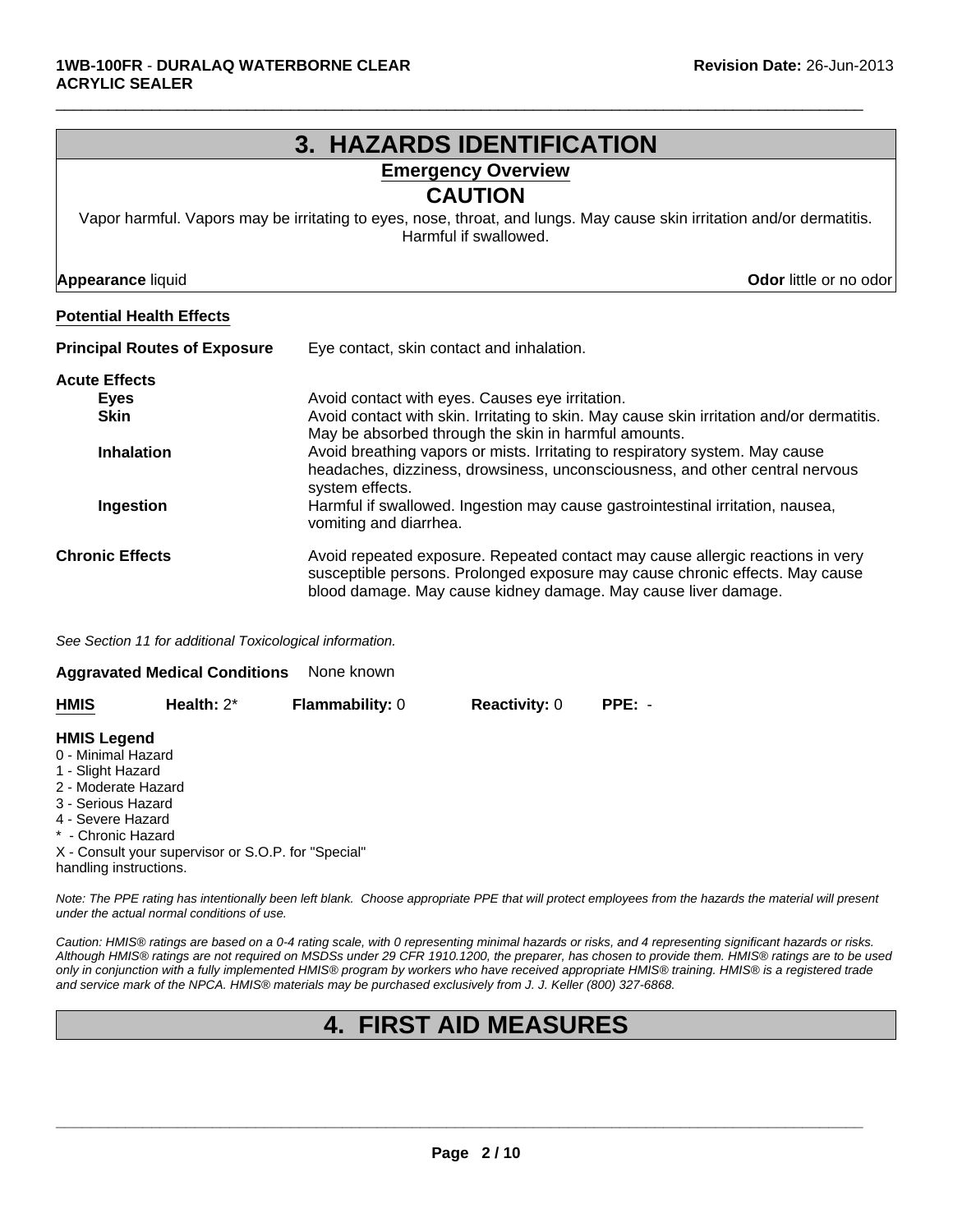| <b>3. HAZARDS IDENTIFICATION</b>    |                                                                                                                                                                                                                                  |  |  |  |
|-------------------------------------|----------------------------------------------------------------------------------------------------------------------------------------------------------------------------------------------------------------------------------|--|--|--|
| <b>Emergency Overview</b>           |                                                                                                                                                                                                                                  |  |  |  |
|                                     | <b>CAUTION</b>                                                                                                                                                                                                                   |  |  |  |
|                                     | Vapor harmful. Vapors may be irritating to eyes, nose, throat, and lungs. May cause skin irritation and/or dermatitis.<br>Harmful if swallowed.                                                                                  |  |  |  |
| <b>Appearance liquid</b>            | Odor little or no odor                                                                                                                                                                                                           |  |  |  |
| <b>Potential Health Effects</b>     |                                                                                                                                                                                                                                  |  |  |  |
| <b>Principal Routes of Exposure</b> | Eye contact, skin contact and inhalation.                                                                                                                                                                                        |  |  |  |
| <b>Acute Effects</b>                |                                                                                                                                                                                                                                  |  |  |  |
| <b>Eyes</b>                         | Avoid contact with eyes. Causes eye irritation.                                                                                                                                                                                  |  |  |  |
| <b>Skin</b>                         | Avoid contact with skin. Irritating to skin. May cause skin irritation and/or dermatitis.<br>May be absorbed through the skin in harmful amounts.                                                                                |  |  |  |
| <b>Inhalation</b>                   | Avoid breathing vapors or mists. Irritating to respiratory system. May cause<br>headaches, dizziness, drowsiness, unconsciousness, and other central nervous<br>system effects.                                                  |  |  |  |
| Ingestion                           | Harmful if swallowed. Ingestion may cause gastrointestinal irritation, nausea,<br>vomiting and diarrhea.                                                                                                                         |  |  |  |
| <b>Chronic Effects</b>              | Avoid repeated exposure. Repeated contact may cause allergic reactions in very<br>susceptible persons. Prolonged exposure may cause chronic effects. May cause<br>blood damage. May cause kidney damage. May cause liver damage. |  |  |  |

 $\Box$ 

*See Section 11 for additional Toxicological information.*

| None known<br><b>Aggravated Medical Conditions</b>                                                         |               |                        |                      |          |  |  |  |
|------------------------------------------------------------------------------------------------------------|---------------|------------------------|----------------------|----------|--|--|--|
| <b>HMIS</b>                                                                                                | Health: $2^*$ | <b>Flammability: 0</b> | <b>Reactivity: 0</b> | $PPE: -$ |  |  |  |
| <b>HMIS Legend</b><br>0 - Minimal Hazard<br>1 - Slight Hazard<br>2 - Moderate Hazard<br>3 - Serious Hazard |               |                        |                      |          |  |  |  |

4 - Severe Hazard

\* - Chronic Hazard

X - Consult your supervisor or S.O.P. for "Special" handling instructions.

*Note: The PPE rating has intentionally been left blank. Choose appropriate PPE that will protect employees from the hazards the material will present under the actual normal conditions of use.*

*Caution: HMIS® ratings are based on a 0-4 rating scale, with 0 representing minimal hazards or risks, and 4 representing significant hazards or risks. Although HMIS® ratings are not required on MSDSs under 29 CFR 1910.1200, the preparer, has chosen to provide them. HMIS® ratings are to be used only in conjunction with a fully implemented HMIS® program by workers who have received appropriate HMIS® training. HMIS® is a registered trade and service mark of the NPCA. HMIS® materials may be purchased exclusively from J. J. Keller (800) 327-6868.*

# **4. FIRST AID MEASURES**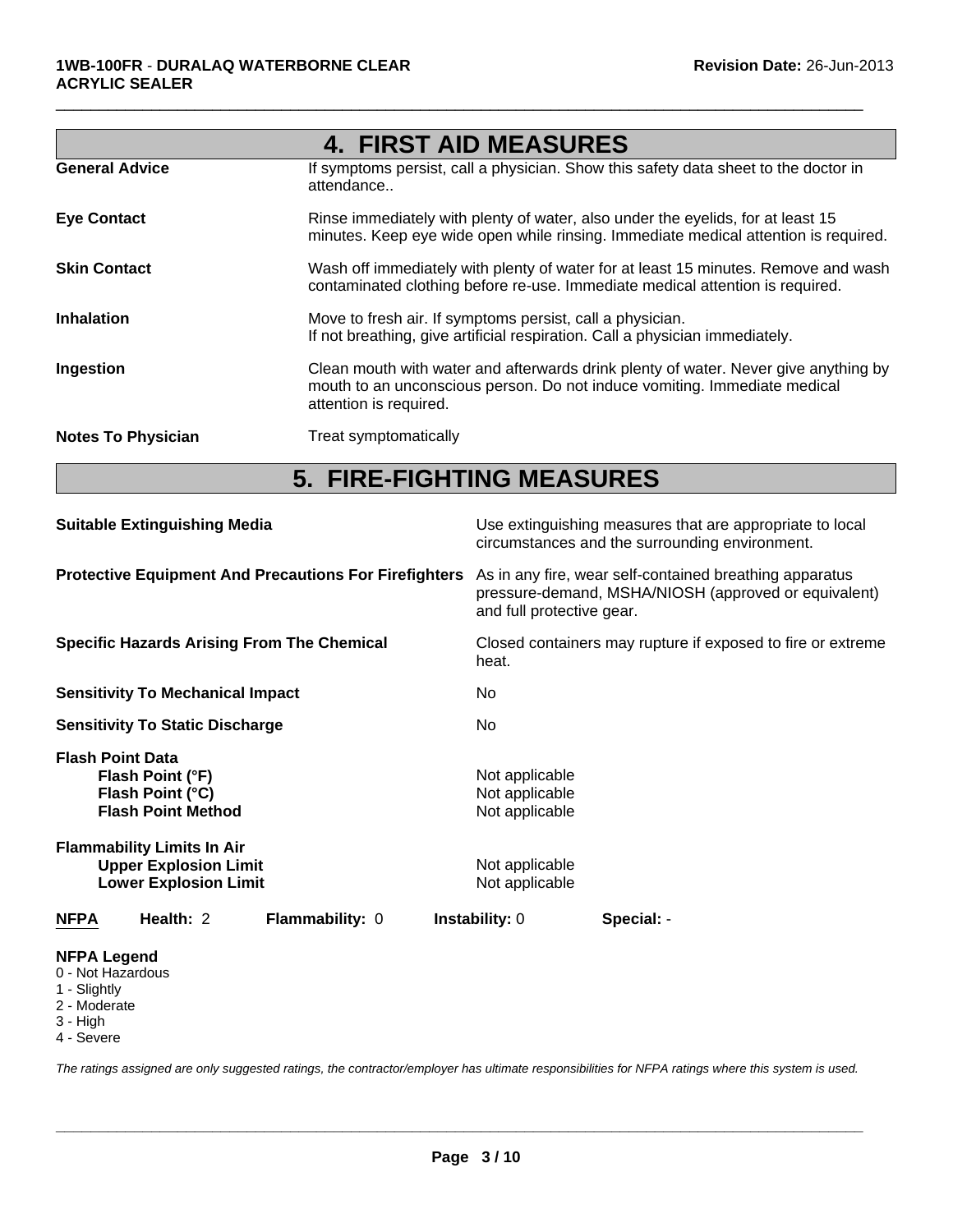|                           | <b>4. FIRST AID MEASURES</b>                                                                                                                                                               |
|---------------------------|--------------------------------------------------------------------------------------------------------------------------------------------------------------------------------------------|
| <b>General Advice</b>     | If symptoms persist, call a physician. Show this safety data sheet to the doctor in<br>attendance                                                                                          |
| <b>Eye Contact</b>        | Rinse immediately with plenty of water, also under the eyelids, for at least 15<br>minutes. Keep eye wide open while rinsing. Immediate medical attention is required.                     |
| <b>Skin Contact</b>       | Wash off immediately with plenty of water for at least 15 minutes. Remove and wash<br>contaminated clothing before re-use. Immediate medical attention is required.                        |
| <b>Inhalation</b>         | Move to fresh air. If symptoms persist, call a physician.<br>If not breathing, give artificial respiration. Call a physician immediately.                                                  |
| Ingestion                 | Clean mouth with water and afterwards drink plenty of water. Never give anything by<br>mouth to an unconscious person. Do not induce vomiting. Immediate medical<br>attention is required. |
| <b>Notes To Physician</b> | Treat symptomatically                                                                                                                                                                      |

 $\Box$ 

# **5. FIRE-FIGHTING MEASURES**

| <b>Suitable Extinguishing Media</b>                          |                                                                                                   |                                                   | Use extinguishing measures that are appropriate to local<br>circumstances and the surrounding environment.                                   |                                                             |  |  |
|--------------------------------------------------------------|---------------------------------------------------------------------------------------------------|---------------------------------------------------|----------------------------------------------------------------------------------------------------------------------------------------------|-------------------------------------------------------------|--|--|
| <b>Protective Equipment And Precautions For Firefighters</b> |                                                                                                   |                                                   | As in any fire, wear self-contained breathing apparatus<br>pressure-demand, MSHA/NIOSH (approved or equivalent)<br>and full protective gear. |                                                             |  |  |
|                                                              |                                                                                                   | <b>Specific Hazards Arising From The Chemical</b> | heat.                                                                                                                                        | Closed containers may rupture if exposed to fire or extreme |  |  |
|                                                              | <b>Sensitivity To Mechanical Impact</b>                                                           |                                                   | No.                                                                                                                                          |                                                             |  |  |
|                                                              | <b>Sensitivity To Static Discharge</b>                                                            |                                                   | No.                                                                                                                                          |                                                             |  |  |
| <b>Flash Point Data</b>                                      | Flash Point (°F)<br>Flash Point (°C)<br><b>Flash Point Method</b>                                 |                                                   | Not applicable<br>Not applicable<br>Not applicable                                                                                           |                                                             |  |  |
|                                                              | <b>Flammability Limits In Air</b><br><b>Upper Explosion Limit</b><br><b>Lower Explosion Limit</b> |                                                   | Not applicable<br>Not applicable                                                                                                             |                                                             |  |  |
| <b>NFPA</b>                                                  | Health: 2                                                                                         | <b>Flammability: 0</b>                            | <b>Instability: 0</b>                                                                                                                        | Special: -                                                  |  |  |
| <b>NFPA Legend</b>                                           |                                                                                                   |                                                   |                                                                                                                                              |                                                             |  |  |

## 0 - Not Hazardous

- 1 Slightly
- 2 Moderate
- 3 High
- 4 Severe

*The ratings assigned are only suggested ratings, the contractor/employer has ultimate responsibilities for NFPA ratings where this system is used.*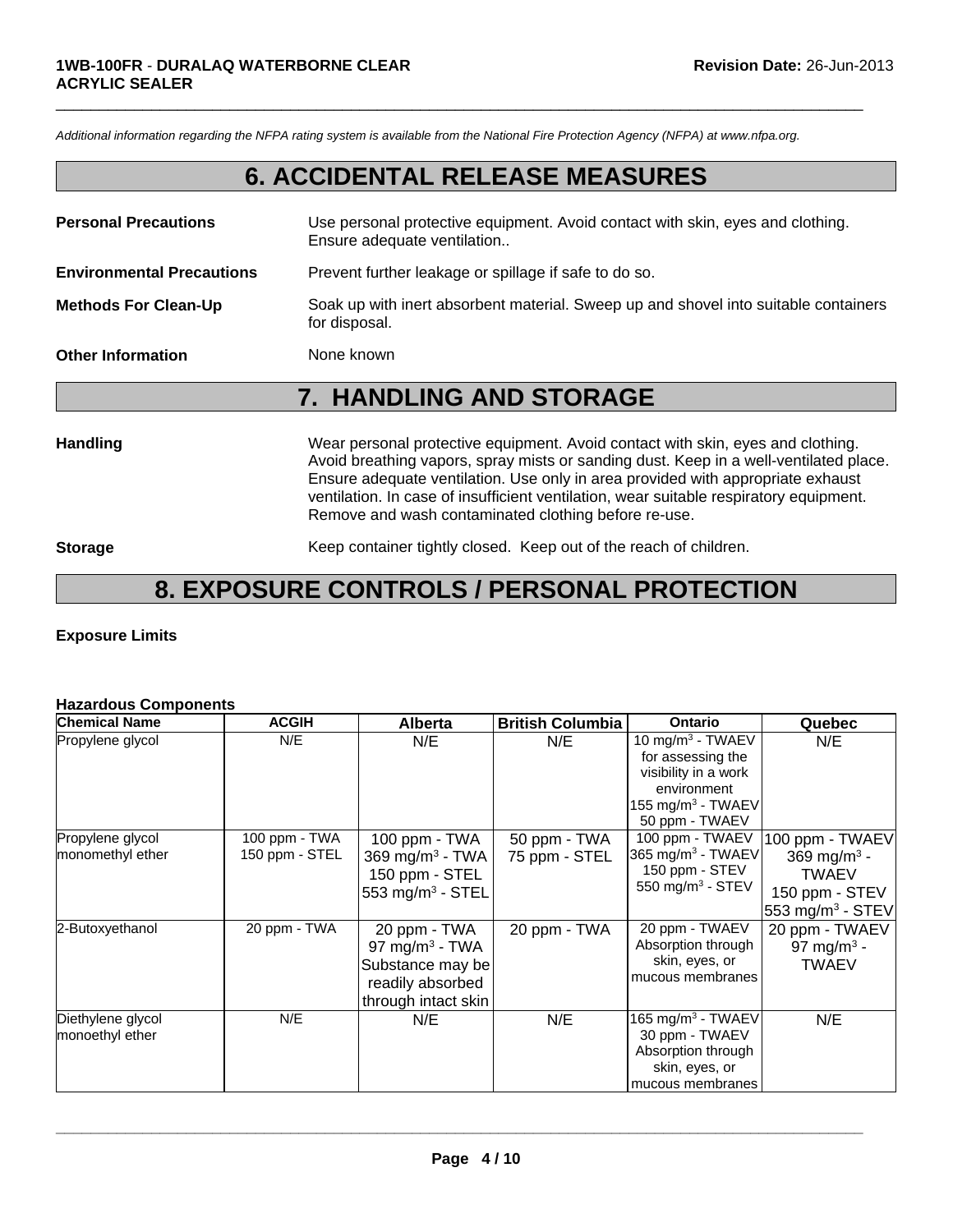*Additional information regarding the NFPA rating system is available from the National Fire Protection Agency (NFPA) at www.nfpa.org.*

## **6. ACCIDENTAL RELEASE MEASURES**

 $\Box$ 

| <b>Personal Precautions</b>      | Use personal protective equipment. Avoid contact with skin, eyes and clothing.<br>Ensure adequate ventilation |
|----------------------------------|---------------------------------------------------------------------------------------------------------------|
| <b>Environmental Precautions</b> | Prevent further leakage or spillage if safe to do so.                                                         |
| <b>Methods For Clean-Up</b>      | Soak up with inert absorbent material. Sweep up and shovel into suitable containers<br>for disposal.          |
| <b>Other Information</b>         | None known                                                                                                    |

## **7. HANDLING AND STORAGE**

**Handling** Wear personal protective equipment. Avoid contact with skin, eyes and clothing. Avoid breathing vapors, spray mists or sanding dust. Keep in a well-ventilated place. Ensure adequate ventilation. Use only in area provided with appropriate exhaust ventilation. In case of insufficient ventilation, wear suitable respiratory equipment. Remove and wash contaminated clothing before re-use.

**Storage** Keep container tightly closed. Keep out of the reach of children.

## **8. EXPOSURE CONTROLS / PERSONAL PROTECTION**

### **Exposure Limits**

### **Hazardous Components**

| <b>Chemical Name</b>                 | <b>ACGIH</b>                    | <b>Alberta</b>                                                                                            | <b>British Columbia</b>       | <b>Ontario</b>                                                                                                                     | Quebec                                                                                              |
|--------------------------------------|---------------------------------|-----------------------------------------------------------------------------------------------------------|-------------------------------|------------------------------------------------------------------------------------------------------------------------------------|-----------------------------------------------------------------------------------------------------|
| Propylene glycol                     | N/E                             | N/E                                                                                                       | N/E                           | 10 mg/m $3$ - TWAEV<br>for assessing the<br>visibility in a work<br>environment<br>155 mg/m <sup>3</sup> - TWAEV<br>50 ppm - TWAEV | N/E                                                                                                 |
| Propylene glycol<br>monomethyl ether | 100 ppm - TWA<br>150 ppm - STEL | 100 ppm - TWA<br>369 mg/m <sup>3</sup> - TWA<br>150 ppm - STEL<br>553 mg/m <sup>3</sup> - STEL            | 50 ppm - TWA<br>75 ppm - STEL | 100 ppm - TWAEV<br>365 mg/m <sup>3</sup> - TWAEV<br>150 ppm - STEV<br>550 mg/m <sup>3</sup> - STEV                                 | 100 ppm - TWAEV<br>369 mg/m <sup>3</sup> -<br><b>TWAEV</b><br>150 ppm - STEV<br>553 mg/m $3$ - STEV |
| 2-Butoxyethanol                      | 20 ppm - TWA                    | 20 ppm - TWA<br>97 mg/m <sup>3</sup> - TWA<br>Substance may be<br>readily absorbed<br>through intact skin | 20 ppm - TWA                  | 20 ppm - TWAEV<br>Absorption through<br>skin, eyes, or<br>mucous membranes                                                         | 20 ppm - TWAEV<br>97 mg/m <sup>3</sup> -<br><b>TWAEV</b>                                            |
| Diethylene glycol<br>monoethyl ether | N/E                             | N/E                                                                                                       | N/E                           | 165 mg/m <sup>3</sup> - TWAEV<br>30 ppm - TWAEV<br>Absorption through<br>skin, eyes, or<br>mucous membranes                        | N/E                                                                                                 |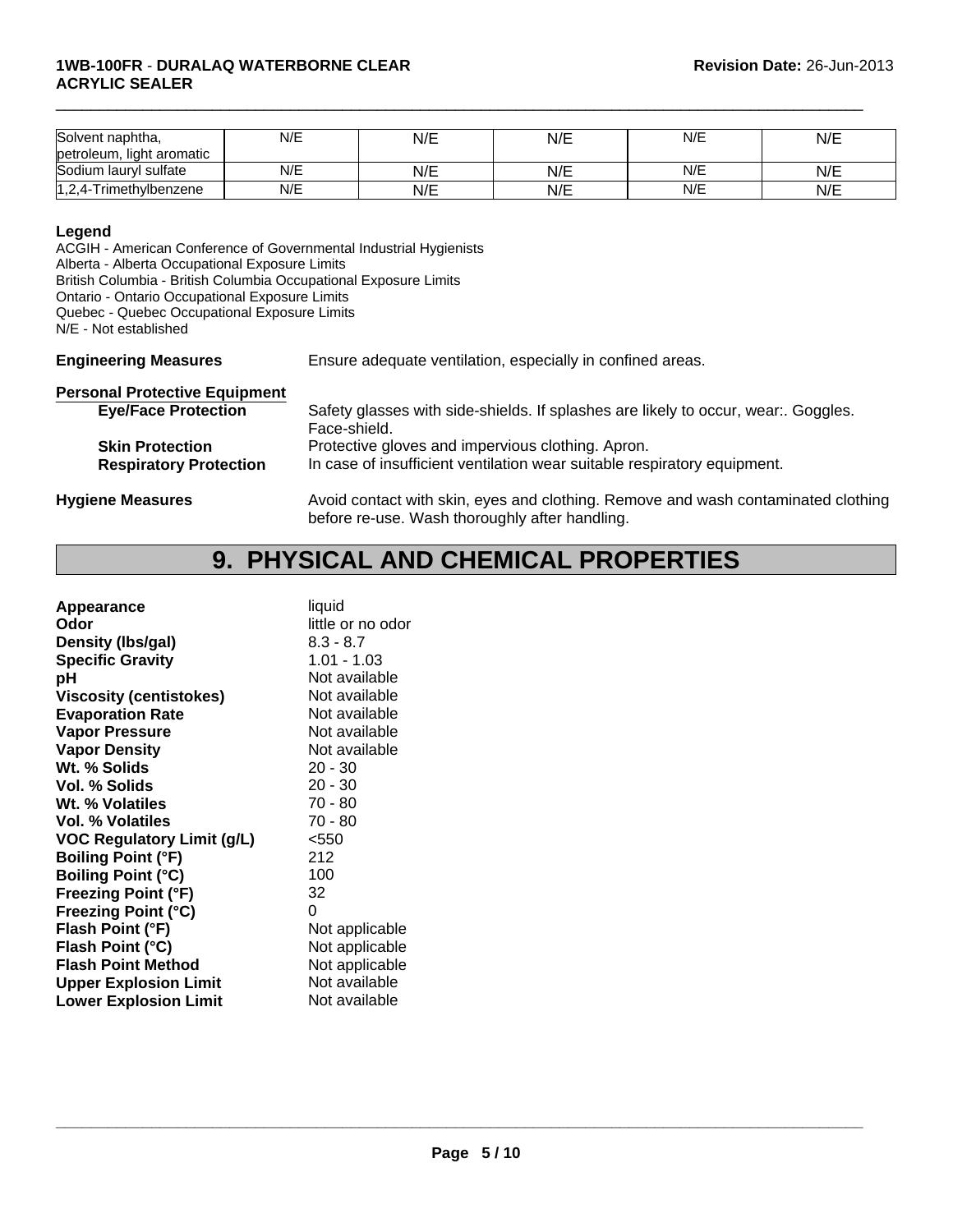| Solvent naphtha,          | N/E | N/E | N/E | N/E | N/E |
|---------------------------|-----|-----|-----|-----|-----|
| petroleum, light aromatic |     |     |     |     |     |
| Sodium lauryl sulfate     | N/E | N/E | N/E | N/E | N/E |
| 1,2,4-Trimethylbenzene    | N/E | N/E | N/E | N/E | N/E |

 $\Box$ 

### **Legend**

ACGIH - American Conference of Governmental Industrial Hygienists Alberta - Alberta Occupational Exposure Limits British Columbia - British Columbia Occupational Exposure Limits Ontario - Ontario Occupational Exposure Limits Quebec - Quebec Occupational Exposure Limits N/E - Not established

**Engineering Measures** Ensure adequate ventilation, especially in confined areas.

| <b>Personal Protective Equipment</b> |                                                                                   |
|--------------------------------------|-----------------------------------------------------------------------------------|
| <b>Eye/Face Protection</b>           | Safety glasses with side-shields. If splashes are likely to occur, wear. Goggles. |
|                                      | Face-shield.                                                                      |
| <b>Skin Protection</b>               | Protective gloves and impervious clothing. Apron.                                 |
| <b>Respiratory Protection</b>        | In case of insufficient ventilation wear suitable respiratory equipment.          |
| <b>Hygiene Measures</b>              | Avoid contact with skin, eyes and clothing. Remove and wash contaminated clothing |

before re-use. Wash thoroughly after handling.

## **9. PHYSICAL AND CHEMICAL PROPERTIES**

| Appearance                        | liquid            |
|-----------------------------------|-------------------|
| Odor                              | little or no odor |
| Density (Ibs/gal)                 | $8.3 - 8.7$       |
| <b>Specific Gravity</b>           | $1.01 - 1.03$     |
| рH                                | Not available     |
| <b>Viscosity (centistokes)</b>    | Not available     |
| <b>Evaporation Rate</b>           | Not available     |
| <b>Vapor Pressure</b>             | Not available     |
| <b>Vapor Density</b>              | Not available     |
| Wt. % Solids                      | $20 - 30$         |
| <b>Vol. % Solids</b>              | $20 - 30$         |
| Wt. % Volatiles                   | 70 - 80           |
| Vol. % Volatiles                  | 70 - 80           |
| <b>VOC Regulatory Limit (g/L)</b> | $<$ 550           |
| <b>Boiling Point (°F)</b>         | 212               |
| <b>Boiling Point (°C)</b>         | 100               |
| <b>Freezing Point (°F)</b>        | 32                |
| <b>Freezing Point (°C)</b>        | 0                 |
| Flash Point (°F)                  | Not applicable    |
| Flash Point (°C)                  | Not applicable    |
| <b>Flash Point Method</b>         | Not applicable    |
| <b>Upper Explosion Limit</b>      | Not available     |
| <b>Lower Explosion Limit</b>      | Not available     |
|                                   |                   |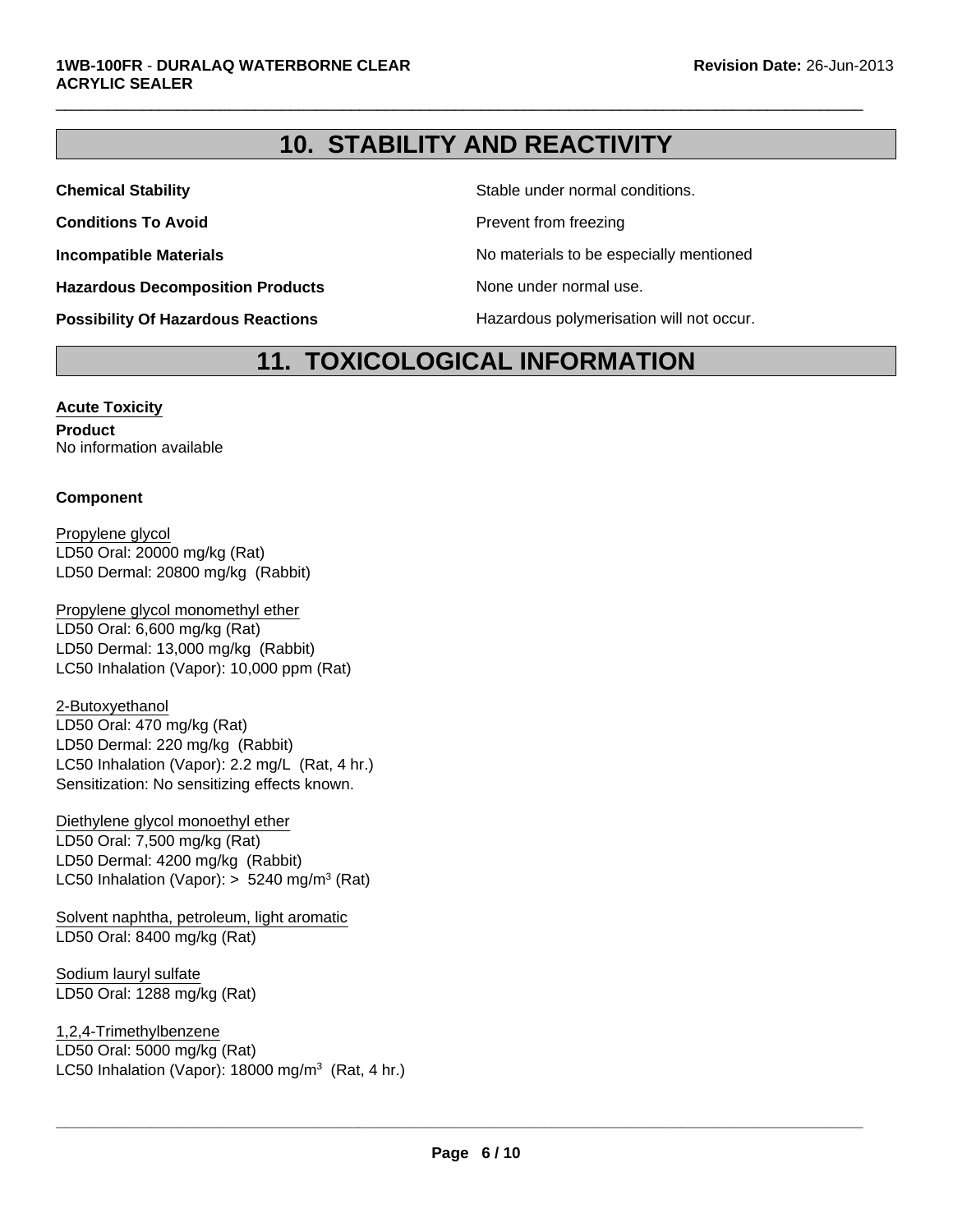# **10. STABILITY AND REACTIVITY**

 $\Box$ 

**Hazardous Decomposition Products** None under normal use.

**Chemical Stability** Stable under normal conditions.

**Conditions To Avoid Prevent from freezing** 

**Incompatible Materials No materials** No materials to be especially mentioned

**Possibility Of Hazardous Reactions Hazardous polymerisation will not occur.** 

## **11. TOXICOLOGICAL INFORMATION**

**Acute Toxicity Product** No information available

## **Component**

LD50 Dermal: 20800 mg/kg (Rabbit) Propylene glycol LD50 Oral: 20000 mg/kg (Rat)

LC50 Inhalation (Vapor): 10,000 ppm (Rat) Propylene glycol monomethyl ether LD50 Oral: 6,600 mg/kg (Rat) LD50 Dermal: 13,000 mg/kg (Rabbit)

2-Butoxyethanol LD50 Oral: 470 mg/kg (Rat) LD50 Dermal: 220 mg/kg (Rabbit) LC50 Inhalation (Vapor): 2.2 mg/L (Rat, 4 hr.) Sensitization: No sensitizing effects known.

LD50 Oral: 7,500 mg/kg (Rat) LD50 Dermal: 4200 mg/kg (Rabbit) LC50 Inhalation (Vapor):  $> 5240$  mg/m<sup>3</sup> (Rat) Diethylene glycol monoethyl ether

Solvent naphtha, petroleum, light aromatic LD50 Oral: 8400 mg/kg (Rat)

Sodium lauryl sulfate LD50 Oral: 1288 mg/kg (Rat)

1,2,4-Trimethylbenzene LD50 Oral: 5000 mg/kg (Rat) LC50 Inhalation (Vapor): 18000 mg/m<sup>3</sup> (Rat, 4 hr.)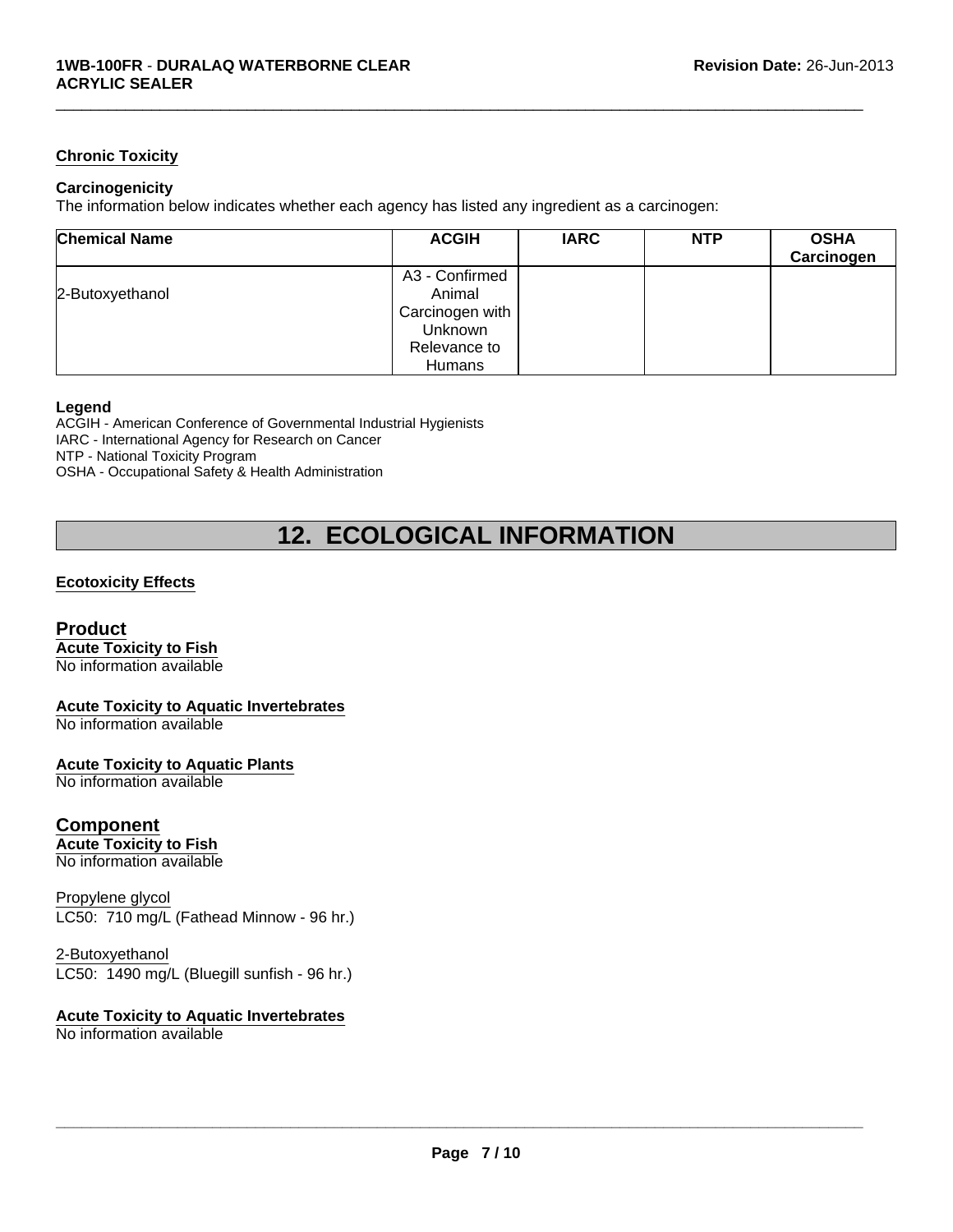## **Chronic Toxicity**

## **Carcinogenicity**

The information below indicates whether each agency has listed any ingredient as a carcinogen:

| <b>Chemical Name</b> | <b>ACGIH</b>    | <b>IARC</b> | <b>NTP</b> | <b>OSHA</b><br>Carcinogen |
|----------------------|-----------------|-------------|------------|---------------------------|
|                      | A3 - Confirmed  |             |            |                           |
| 2-Butoxyethanol      | Animal          |             |            |                           |
|                      | Carcinogen with |             |            |                           |
|                      | <b>Unknown</b>  |             |            |                           |
|                      | Relevance to    |             |            |                           |
|                      | Humans          |             |            |                           |

 $\Box$ 

#### **Legend**

ACGIH - American Conference of Governmental Industrial Hygienists IARC - International Agency for Research on Cancer NTP - National Toxicity Program OSHA - Occupational Safety & Health Administration

# **12. ECOLOGICAL INFORMATION**

## **Ecotoxicity Effects**

## **Product**

**Acute Toxicity to Fish**

No information available

### **Acute Toxicity to Aquatic Invertebrates**

No information available

### **Acute Toxicity to Aquatic Plants**

No information available

## **Component**

**Acute Toxicity to Fish** No information available

## Propylene glycol LC50: 710 mg/L (Fathead Minnow - 96 hr.)

2-Butoxyethanol

LC50: 1490 mg/L (Bluegill sunfish - 96 hr.)

#### **Acute Toxicity to Aquatic Invertebrates** No information available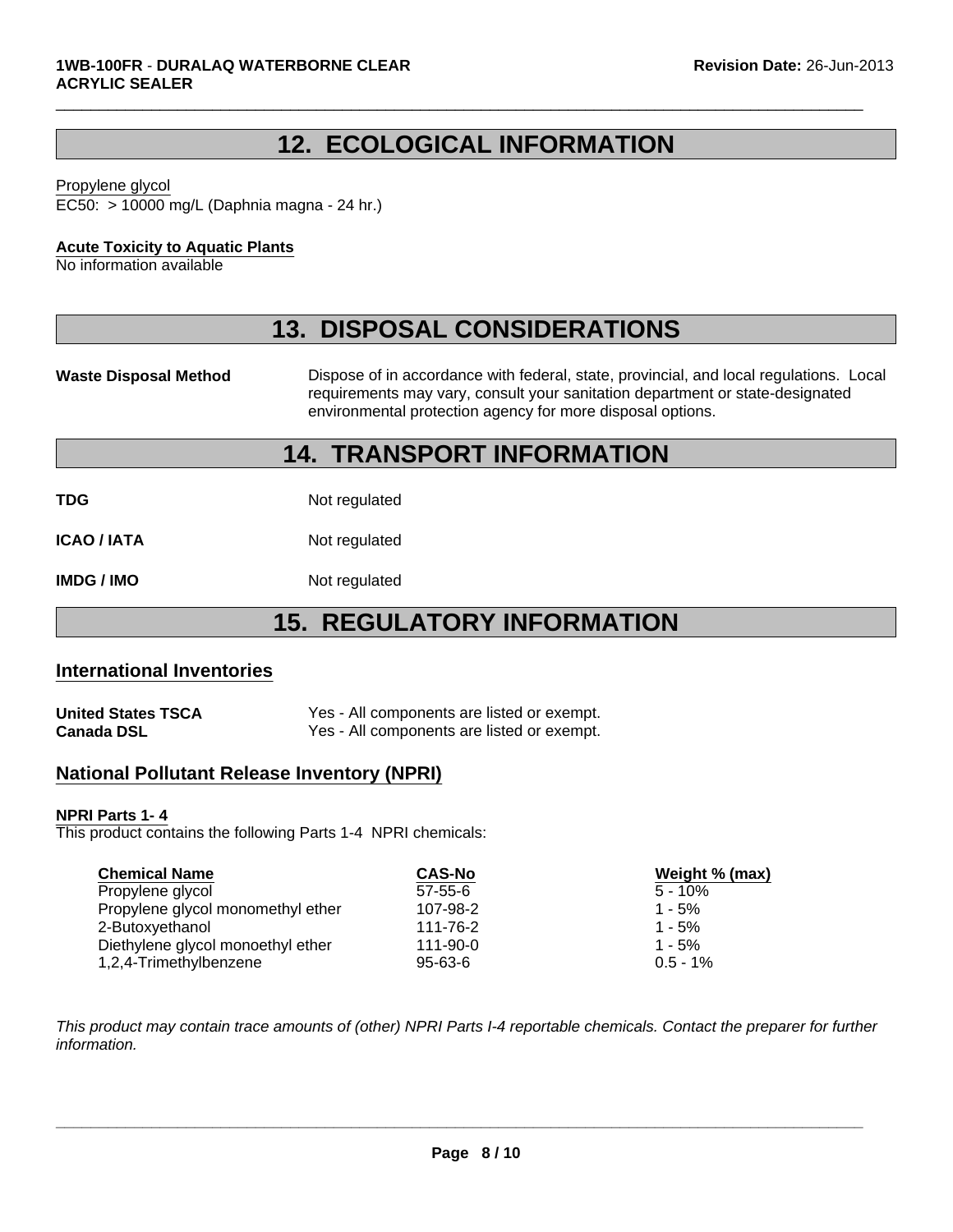# **12. ECOLOGICAL INFORMATION**

 $\Box$ 

#### Propylene glycol

EC50: > 10000 mg/L (Daphnia magna - 24 hr.)

## **Acute Toxicity to Aquatic Plants**

No information available

## **13. DISPOSAL CONSIDERATIONS**

Waste Disposal Method **Dispose of in accordance with federal, state, provincial, and local regulations. Local** requirements may vary, consult your sanitation department or state-designated environmental protection agency for more disposal options.

## **14. TRANSPORT INFORMATION**

**TDG** Not regulated

**ICAO / IATA** Not regulated

**IMDG / IMO** Not regulated

# **15. REGULATORY INFORMATION**

## **International Inventories**

| <b>United States TSCA</b> | Yes - All components are listed or exempt. |
|---------------------------|--------------------------------------------|
| <b>Canada DSL</b>         | Yes - All components are listed or exempt. |

## **National Pollutant Release Inventory (NPRI)**

### **NPRI Parts 1- 4**

This product contains the following Parts 1-4 NPRI chemicals:

| <b>Chemical Name</b>              | <b>CAS-No</b> | Weight % (max) |
|-----------------------------------|---------------|----------------|
| Propylene glycol                  | $57 - 55 - 6$ | $5 - 10\%$     |
| Propylene glycol monomethyl ether | 107-98-2      | $1 - 5%$       |
| 2-Butoxyethanol                   | 111-76-2      | $1 - 5%$       |
| Diethylene glycol monoethyl ether | 111-90-0      | $1 - 5%$       |
| 1,2,4-Trimethylbenzene            | $95 - 63 - 6$ | $0.5 - 1\%$    |

*This product may contain trace amounts of (other) NPRI Parts I-4 reportable chemicals. Contact the preparer for further information.*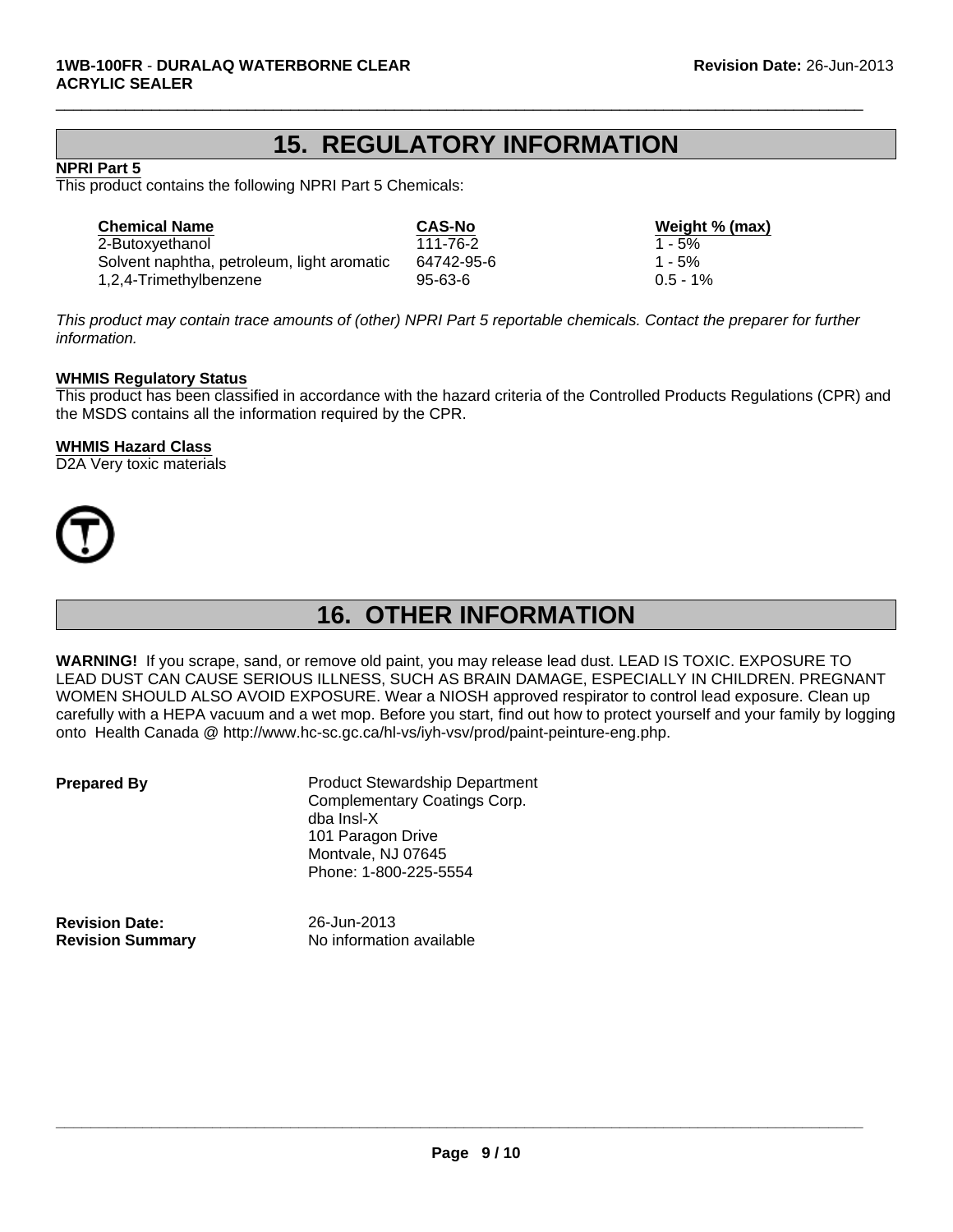## **15. REGULATORY INFORMATION**

 $\Box$ 

## **NPRI Part 5**

This product contains the following NPRI Part 5 Chemicals:

Solvent naphtha, petroleum, light aromatic 64742-95-6 1 - 5% 1,2,4-Trimethylbenzene 95-63-6 0.5 - 1% **Chemical Name CAS-No Weight % (max)** 2-Butoxyethanol 111-76-2 1 - 5%

*This product may contain trace amounts of (other) NPRI Part 5 reportable chemicals. Contact the preparer for further information.*

### **WHMIS Regulatory Status**

This product has been classified in accordance with the hazard criteria of the Controlled Products Regulations (CPR) and the MSDS contains all the information required by the CPR.

#### **WHMIS Hazard Class**

D<sub>2</sub>A Very toxic materials



# **16. OTHER INFORMATION**

**WARNING!** If you scrape, sand, or remove old paint, you may release lead dust. LEAD IS TOXIC. EXPOSURE TO LEAD DUST CAN CAUSE SERIOUS ILLNESS, SUCH AS BRAIN DAMAGE, ESPECIALLY IN CHILDREN. PREGNANT WOMEN SHOULD ALSO AVOID EXPOSURE. Wear a NIOSH approved respirator to control lead exposure. Clean up carefully with a HEPA vacuum and a wet mop. Before you start, find out how to protect yourself and your family by logging onto Health Canada @ http://www.hc-sc.gc.ca/hl-vs/iyh-vsv/prod/paint-peinture-eng.php.

**Prepared By** Product Stewardship Department Complementary Coatings Corp. dba Insl-X 101 Paragon Drive Montvale, NJ 07645 Phone: 1-800-225-5554

**Revision Date:** 26-Jun-2013

**Revision Summary** No information available